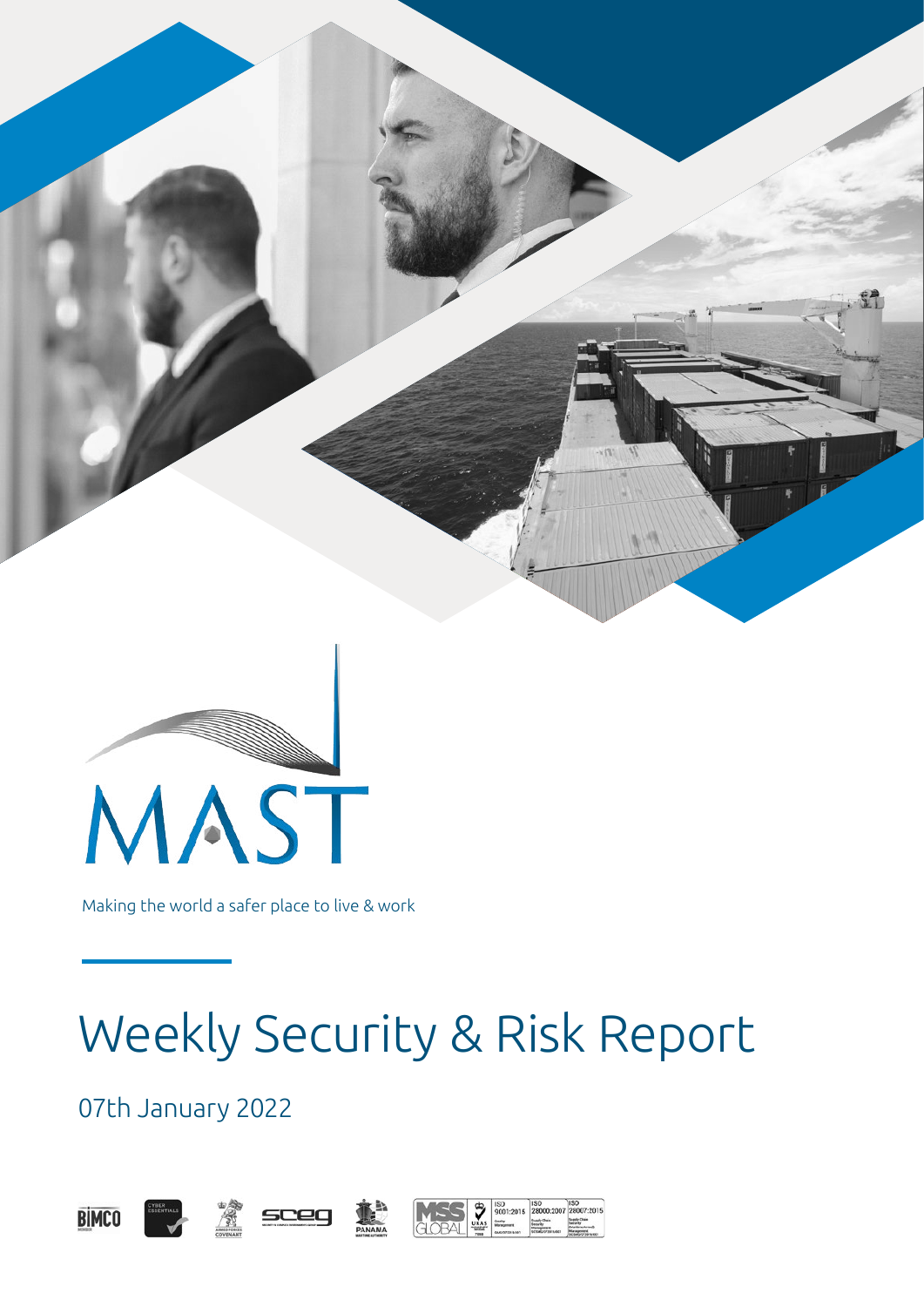



Making the world a safer place to live & work

# Weekly Security & Risk Report

07th January 2022





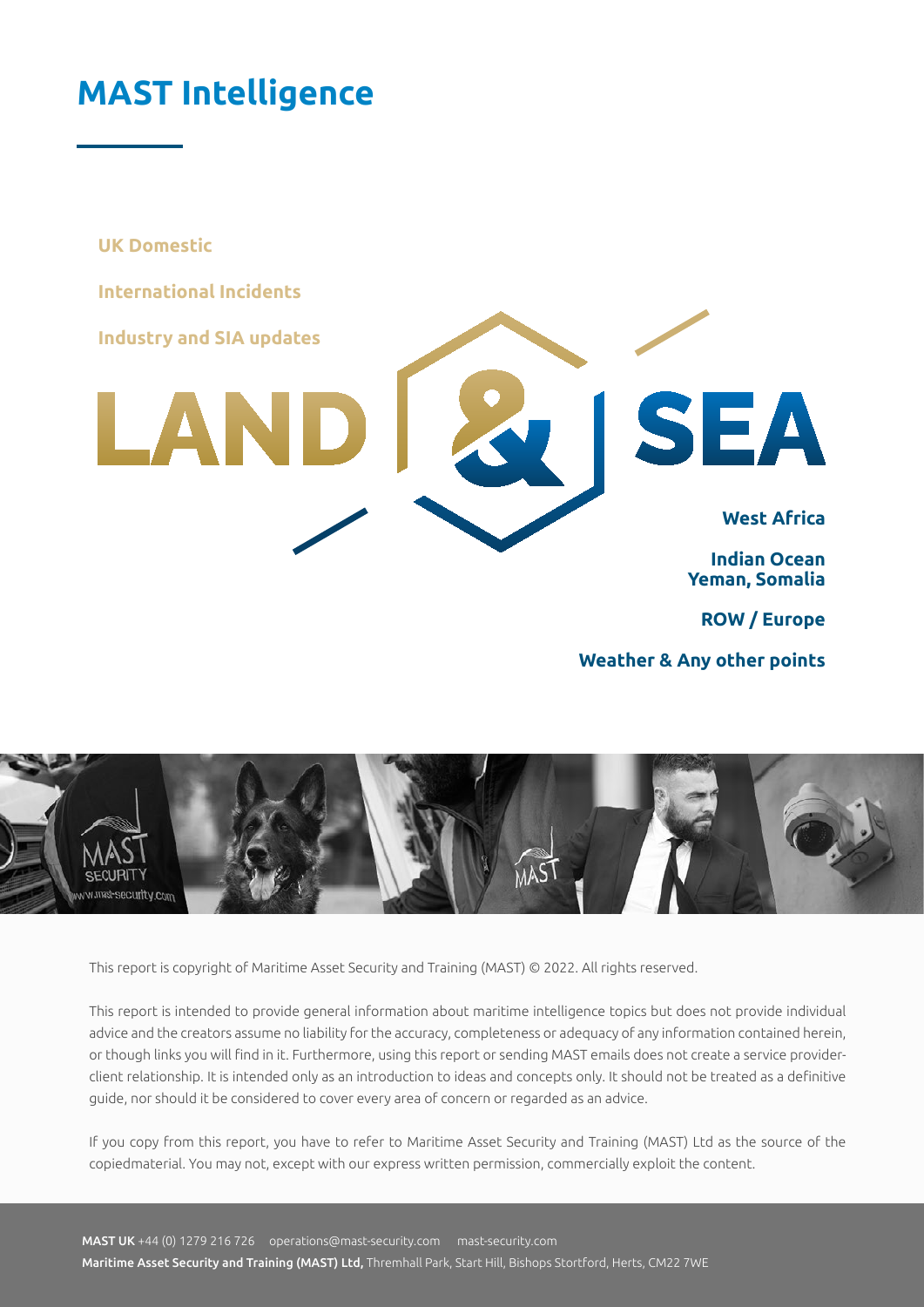### <span id="page-1-0"></span>**MAST Intelligence**

**UK Domestic International Incidents Industry and SIA updatesSEA** LAN **West Africa Indian Ocean Yeman, Somalia ROW / Europe**

**Weather & Any other points**



This report is copyright of Maritime Asset Security and Training (MAST) © 2022. All rights reserved.

This report is intended to provide general information about maritime intelligence topics but does not provide individual advice and the creators assume no liability for the accuracy, completeness or adequacy of any information contained herein, or though links you will find in it. Furthermore, using this report or sending MAST emails does not create a service providerclient relationship. It is intended only as an introduction to ideas and concepts only. It should not be treated as a definitive guide, nor should it be considered to cover every area of concern or regarded as an advice.

If you copy from this report, you have to refer to Maritime Asset Security and Training (MAST) Ltd as the source of the copiedmaterial. You may not, except with our express written permission, commercially exploit the content.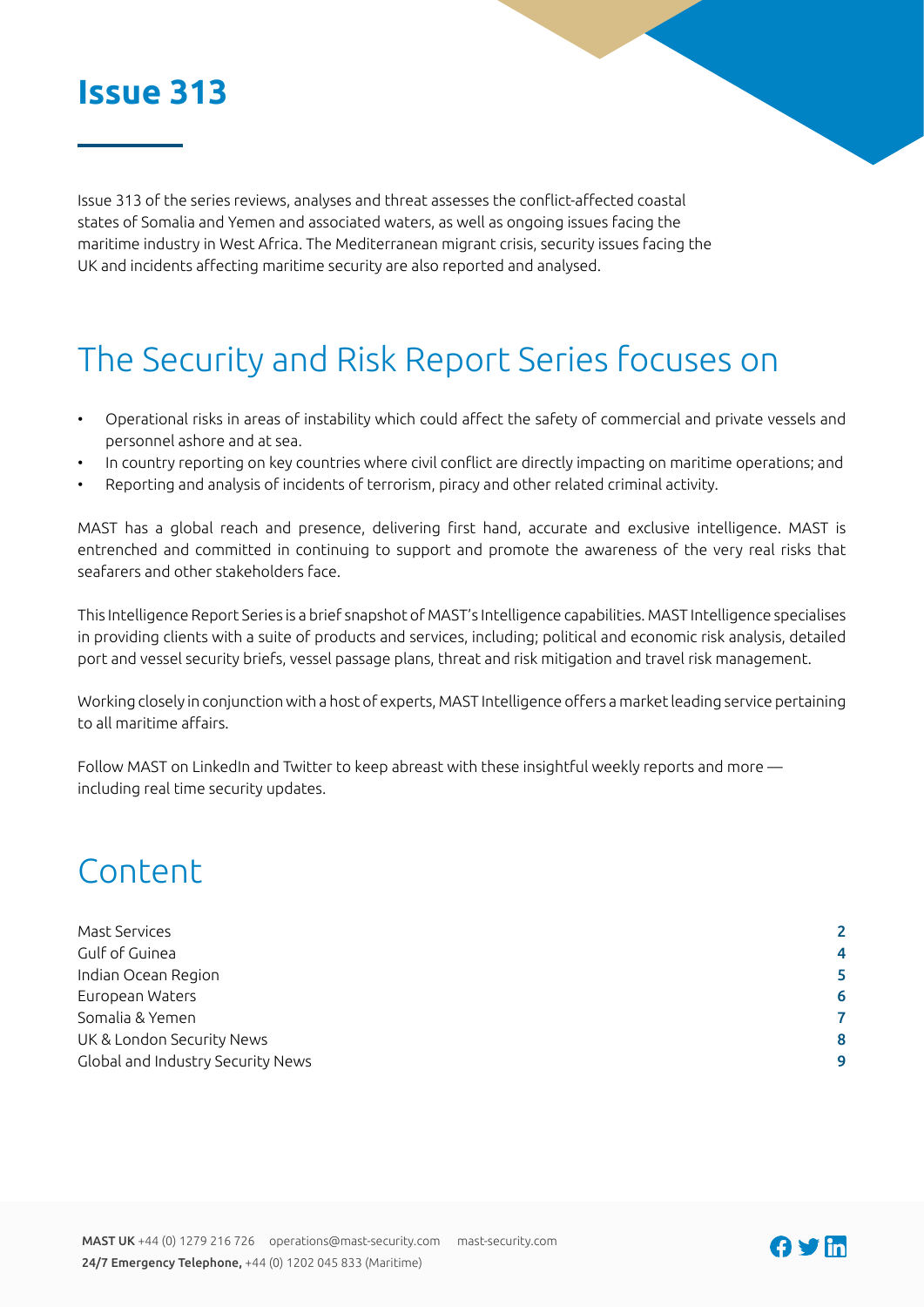### **Issue 313**

Issue 313 of the series reviews, analyses and threat assesses the conflict-affected coastal states of Somalia and Yemen and associated waters, as well as ongoing issues facing the maritime industry in West Africa. The Mediterranean migrant crisis, security issues facing the UK and incidents affecting maritime security are also reported and analysed.

# The Security and Risk Report Series focuses on

- Operational risks in areas of instability which could affect the safety of commercial and private vessels and personnel ashore and at sea.
- In country reporting on key countries where civil conflict are directly impacting on maritime operations; and
- Reporting and analysis of incidents of terrorism, piracy and other related criminal activity.

MAST has a global reach and presence, delivering first hand, accurate and exclusive intelligence. MAST is entrenched and committed in continuing to support and promote the awareness of the very real risks that seafarers and other stakeholders face.

This Intelligence Report Series is a brief snapshot of MAST's Intelligence capabilities. MAST Intelligence specialises in providing clients with a suite of products and services, including; political and economic risk analysis, detailed port and vessel security briefs, vessel passage plans, threat and risk mitigation and travel risk management.

Working closely in conjunction with a host of experts, MAST Intelligence offers a market leading service pertaining to all maritime affairs.

Follow MAST on LinkedIn and Twitter to keep abreast with these insightful weekly reports and more including real time security updates.

### Content

| 4 |
|---|
| 5 |
| 6 |
|   |
| 8 |
| 9 |
|   |

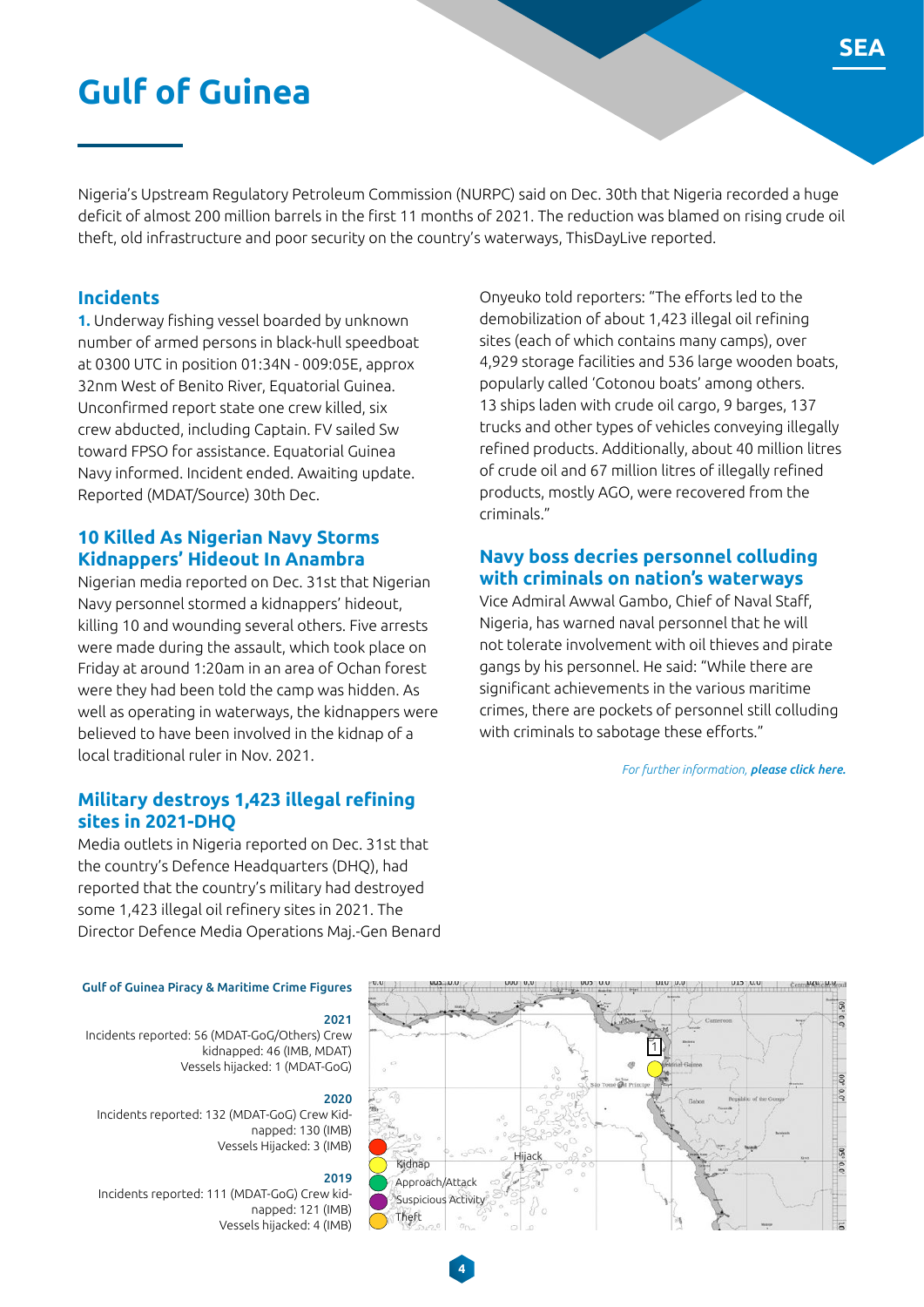### <span id="page-3-0"></span>**Gulf of Guinea**

Nigeria's Upstream Regulatory Petroleum Commission (NURPC) said on Dec. 30th that Nigeria recorded a huge deficit of almost 200 million barrels in the first 11 months of 2021. The reduction was blamed on rising crude oil theft, old infrastructure and poor security on the country's waterways, ThisDayLive reported.

#### **Incidents**

**1.** Underway fishing vessel boarded by unknown number of armed persons in black-hull speedboat at 0300 UTC in position 01:34N - 009:05E, approx 32nm West of Benito River, Equatorial Guinea. Unconfirmed report state one crew killed, six crew abducted, including Captain. FV sailed Sw toward FPSO for assistance. Equatorial Guinea Navy informed. Incident ended. Awaiting update. Reported (MDAT/Source) 30th Dec.

#### **10 Killed As Nigerian Navy Storms Kidnappers' Hideout In Anambra**

Nigerian media reported on Dec. 31st that Nigerian Navy personnel stormed a kidnappers' hideout, killing 10 and wounding several others. Five arrests were made during the assault, which took place on Friday at around 1:20am in an area of Ochan forest were they had been told the camp was hidden. As well as operating in waterways, the kidnappers were believed to have been involved in the kidnap of a local traditional ruler in Nov. 2021.

#### **Military destroys 1,423 illegal refining sites in 2021-DHQ**

Media outlets in Nigeria reported on Dec. 31st that the country's Defence Headquarters (DHQ), had reported that the country's military had destroyed some 1,423 illegal oil refinery sites in 2021. The Director Defence Media Operations Maj.-Gen Benard

Onyeuko told reporters: "The efforts led to the demobilization of about 1,423 illegal oil refining sites (each of which contains many camps), over 4,929 storage facilities and 536 large wooden boats, popularly called 'Cotonou boats' among others. 13 ships laden with crude oil cargo, 9 barges, 137 trucks and other types of vehicles conveying illegally refined products. Additionally, about 40 million litres of crude oil and 67 million litres of illegally refined products, mostly AGO, were recovered from the criminals."

#### **Navy boss decries personnel colluding with criminals on nation's waterways**

Vice Admiral Awwal Gambo, Chief of Naval Staff, Nigeria, has warned naval personnel that he will not tolerate involvement with oil thieves and pirate gangs by his personnel. He said: "While there are significant achievements in the various maritime crimes, there are pockets of personnel still colluding with criminals to sabotage these efforts."

*For further information, please click here.*

#### Gulf of Guinea Piracy & Maritime Crime Figures

#### 2021

Incidents reported: 56 (MDAT-GoG/Others) Crew kidnapped: 46 (IMB, MDAT) Vessels hijacked: 1 (MDAT-GoG)

#### 2020

Incidents reported: 132 (MDAT-GoG) Crew Kidnapped: 130 (IMB) Vessels Hijacked: 3 (IMB)

#### 2019

**4**

Incidents reported: 111 (MDAT-GoG) Crew kidnapped: 121 (IMB) Vessels hijacked: 4 (IMB)

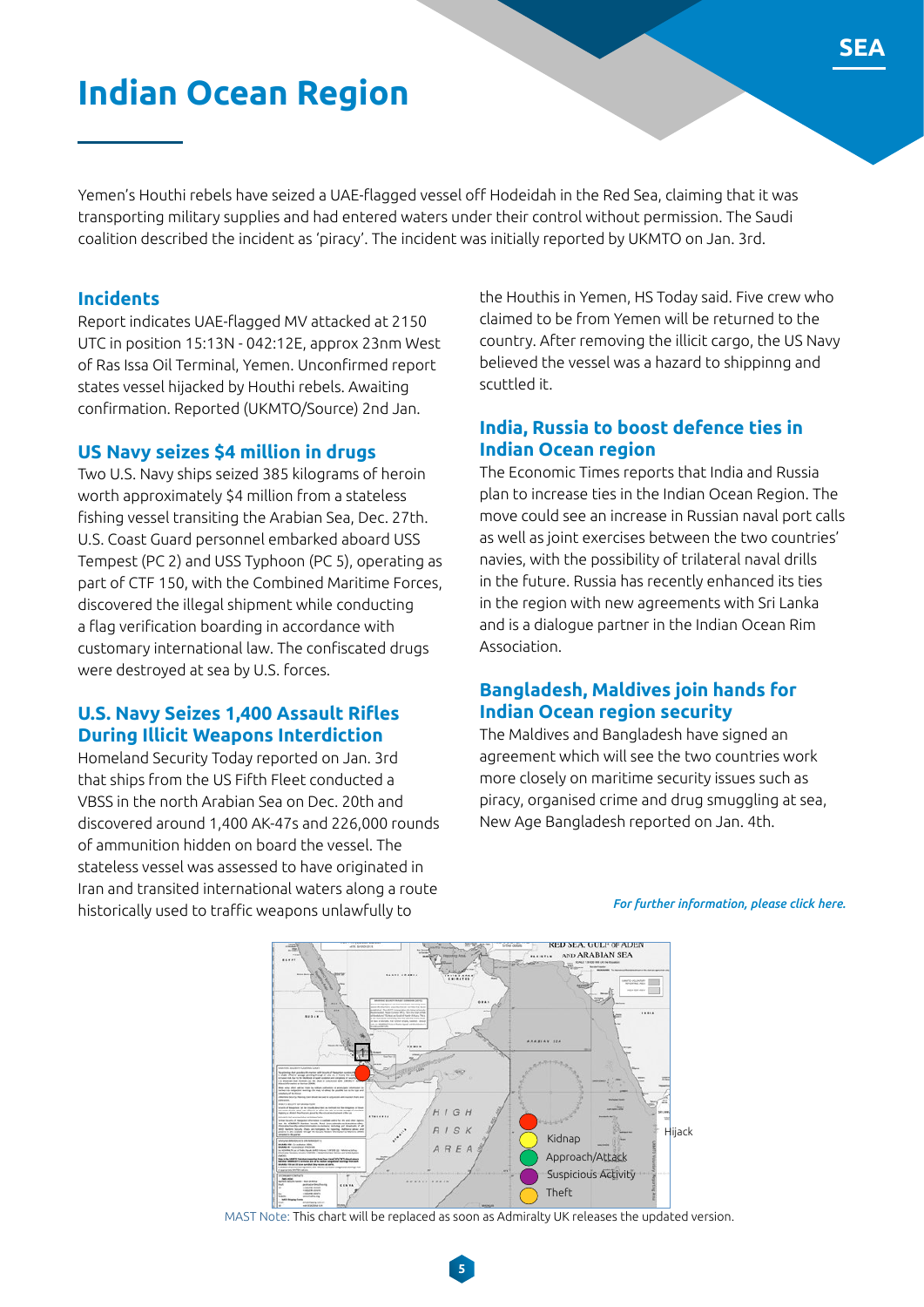### **Indian Ocean Region**

Yemen's Houthi rebels have seized a UAE-flagged vessel off Hodeidah in the Red Sea, claiming that it was transporting military supplies and had entered waters under their control without permission. The Saudi coalition described the incident as 'piracy'. The incident was initially reported by UKMTO on Jan. 3rd.

#### **Incidents**

Report indicates UAE-flagged MV attacked at 2150 UTC in position 15:13N - 042:12E, approx 23nm West of Ras Issa Oil Terminal, Yemen. Unconfirmed report states vessel hijacked by Houthi rebels. Awaiting confirmation. Reported (UKMTO/Source) 2nd Jan.

#### **US Navy seizes \$4 million in drugs**

Two U.S. Navy ships seized 385 kilograms of heroin worth approximately \$4 million from a stateless fishing vessel transiting the Arabian Sea, Dec. 27th. U.S. Coast Guard personnel embarked aboard USS Tempest (PC 2) and USS Typhoon (PC 5), operating as part of CTF 150, with the Combined Maritime Forces, discovered the illegal shipment while conducting a flag verification boarding in accordance with customary international law. The confiscated drugs were destroyed at sea by U.S. forces.

#### **U.S. Navy Seizes 1,400 Assault Rifles During Illicit Weapons Interdiction**

Homeland Security Today reported on Jan. 3rd that ships from the US Fifth Fleet conducted a VBSS in the north Arabian Sea on Dec. 20th and discovered around 1,400 AK-47s and 226,000 rounds of ammunition hidden on board the vessel. The stateless vessel was assessed to have originated in Iran and transited international waters along a route historically used to traffic weapons unlawfully to

the Houthis in Yemen, HS Today said. Five crew who claimed to be from Yemen will be returned to the country. After removing the illicit cargo, the US Navy believed the vessel was a hazard to shippinng and scuttled it.

#### **India, Russia to boost defence ties in Indian Ocean region**

The Economic Times reports that India and Russia plan to increase ties in the Indian Ocean Region. The move could see an increase in Russian naval port calls as well as joint exercises between the two countries' navies, with the possibility of trilateral naval drills in the future. Russia has recently enhanced its ties in the region with new agreements with Sri Lanka and is a dialogue partner in the Indian Ocean Rim Association.

#### **Bangladesh, Maldives join hands for Indian Ocean region security**

The Maldives and Bangladesh have signed an agreement which will see the two countries work more closely on maritime security issues such as piracy, organised crime and drug smuggling at sea, New Age Bangladesh reported on Jan. 4th.



#### *For further information, please click here.*

MAST Note: This chart will be replaced as soon as Admiralty UK releases the updated version.

**5**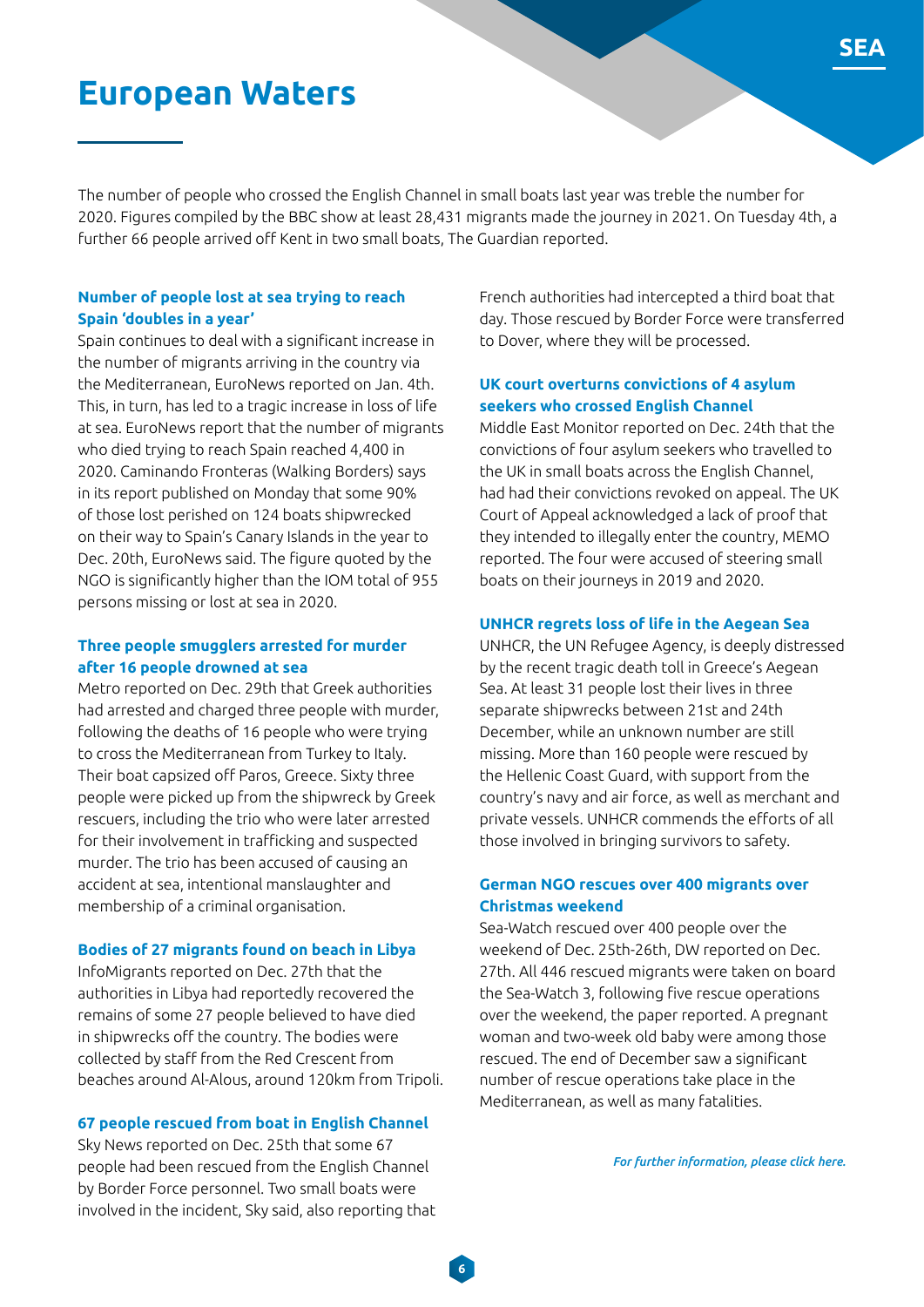### **European Waters**

The number of people who crossed the English Channel in small boats last year was treble the number for 2020. Figures compiled by the BBC show at least 28,431 migrants made the journey in 2021. On Tuesday 4th, a further 66 people arrived off Kent in two small boats, The Guardian reported.

**6**

#### **Number of people lost at sea trying to reach Spain 'doubles in a year'**

Spain continues to deal with a significant increase in the number of migrants arriving in the country via the Mediterranean, EuroNews reported on Jan. 4th. This, in turn, has led to a tragic increase in loss of life at sea. EuroNews report that the number of migrants who died trying to reach Spain reached 4,400 in 2020. Caminando Fronteras (Walking Borders) says in its report published on Monday that some 90% of those lost perished on 124 boats shipwrecked on their way to Spain's Canary Islands in the year to Dec. 20th, EuroNews said. The figure quoted by the NGO is significantly higher than the IOM total of 955 persons missing or lost at sea in 2020.

#### **Three people smugglers arrested for murder after 16 people drowned at sea**

Metro reported on Dec. 29th that Greek authorities had arrested and charged three people with murder, following the deaths of 16 people who were trying to cross the Mediterranean from Turkey to Italy. Their boat capsized off Paros, Greece. Sixty three people were picked up from the shipwreck by Greek rescuers, including the trio who were later arrested for their involvement in trafficking and suspected murder. The trio has been accused of causing an accident at sea, intentional manslaughter and membership of a criminal organisation.

#### **Bodies of 27 migrants found on beach in Libya**

InfoMigrants reported on Dec. 27th that the authorities in Libya had reportedly recovered the remains of some 27 people believed to have died in shipwrecks off the country. The bodies were collected by staff from the Red Crescent from beaches around Al-Alous, around 120km from Tripoli.

#### **67 people rescued from boat in English Channel**

Sky News reported on Dec. 25th that some 67 people had been rescued from the English Channel by Border Force personnel. Two small boats were involved in the incident, Sky said, also reporting that French authorities had intercepted a third boat that day. Those rescued by Border Force were transferred to Dover, where they will be processed.

#### **UK court overturns convictions of 4 asylum seekers who crossed English Channel**

Middle East Monitor reported on Dec. 24th that the convictions of four asylum seekers who travelled to the UK in small boats across the English Channel, had had their convictions revoked on appeal. The UK Court of Appeal acknowledged a lack of proof that they intended to illegally enter the country, MEMO reported. The four were accused of steering small boats on their journeys in 2019 and 2020.

#### **UNHCR regrets loss of life in the Aegean Sea**

UNHCR, the UN Refugee Agency, is deeply distressed by the recent tragic death toll in Greece's Aegean Sea. At least 31 people lost their lives in three separate shipwrecks between 21st and 24th December, while an unknown number are still missing. More than 160 people were rescued by the Hellenic Coast Guard, with support from the country's navy and air force, as well as merchant and private vessels. UNHCR commends the efforts of all those involved in bringing survivors to safety.

#### **German NGO rescues over 400 migrants over Christmas weekend**

Sea-Watch rescued over 400 people over the weekend of Dec. 25th-26th, DW reported on Dec. 27th. All 446 rescued migrants were taken on board the Sea-Watch 3, following five rescue operations over the weekend, the paper reported. A pregnant woman and two-week old baby were among those rescued. The end of December saw a significant number of rescue operations take place in the Mediterranean, as well as many fatalities.

*For further information, please click here.*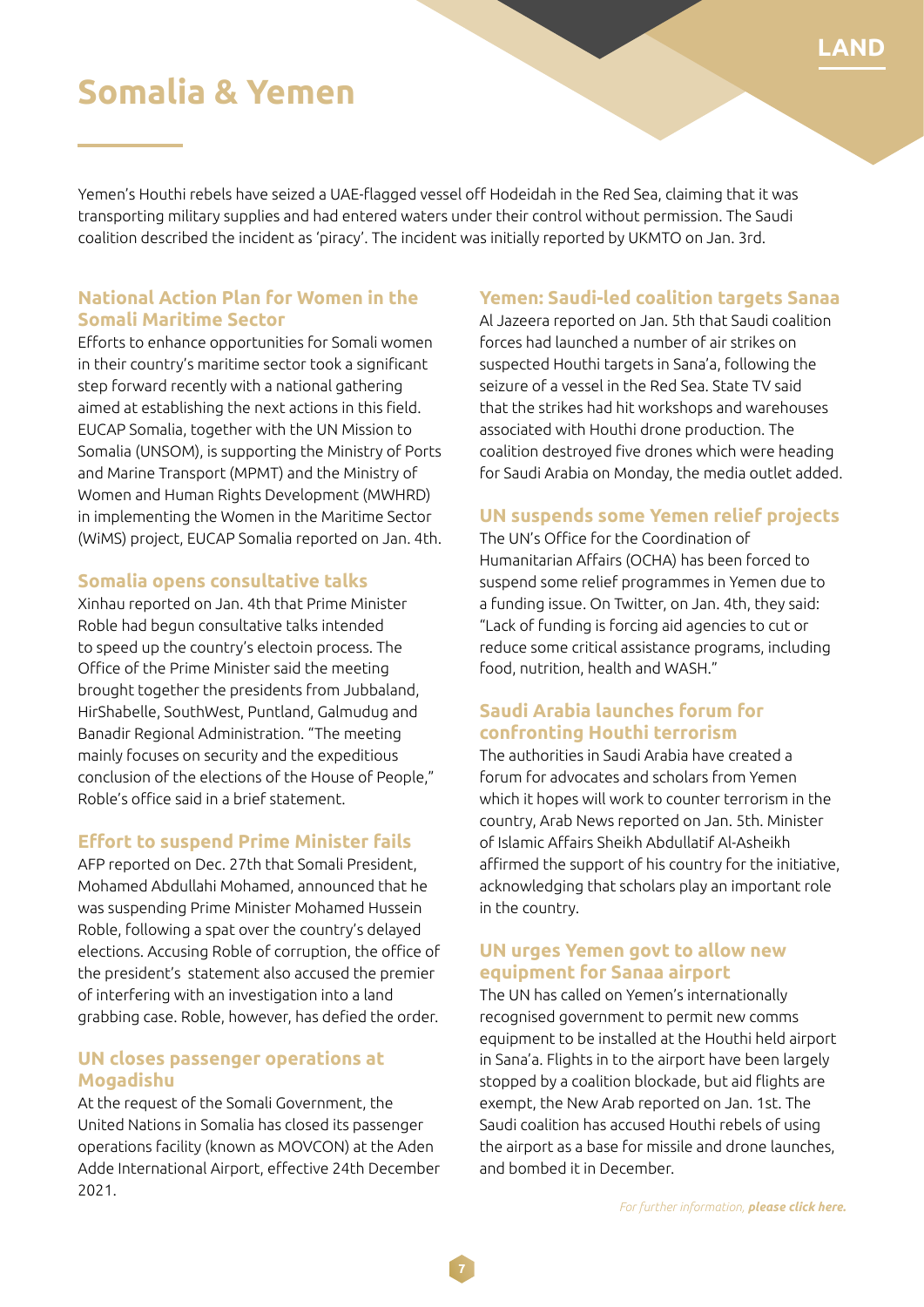### **Somalia & Yemen**

Yemen's Houthi rebels have seized a UAE-flagged vessel off Hodeidah in the Red Sea, claiming that it was transporting military supplies and had entered waters under their control without permission. The Saudi coalition described the incident as 'piracy'. The incident was initially reported by UKMTO on Jan. 3rd.

#### **National Action Plan for Women in the Somali Maritime Sector**

Efforts to enhance opportunities for Somali women in their country's maritime sector took a significant step forward recently with a national gathering aimed at establishing the next actions in this field. EUCAP Somalia, together with the UN Mission to Somalia (UNSOM), is supporting the Ministry of Ports and Marine Transport (MPMT) and the Ministry of Women and Human Rights Development (MWHRD) in implementing the Women in the Maritime Sector (WiMS) project, EUCAP Somalia reported on Jan. 4th.

#### **Somalia opens consultative talks**

Xinhau reported on Jan. 4th that Prime Minister Roble had begun consultative talks intended to speed up the country's electoin process. The Office of the Prime Minister said the meeting brought together the presidents from Jubbaland, HirShabelle, SouthWest, Puntland, Galmudug and Banadir Regional Administration. "The meeting mainly focuses on security and the expeditious conclusion of the elections of the House of People," Roble's office said in a brief statement.

#### **Effort to suspend Prime Minister fails**

AFP reported on Dec. 27th that Somali President, Mohamed Abdullahi Mohamed, announced that he was suspending Prime Minister Mohamed Hussein Roble, following a spat over the country's delayed elections. Accusing Roble of corruption, the office of the president's statement also accused the premier of interfering with an investigation into a land grabbing case. Roble, however, has defied the order.

#### **UN closes passenger operations at Mogadishu**

At the request of the Somali Government, the United Nations in Somalia has closed its passenger operations facility (known as MOVCON) at the Aden Adde International Airport, effective 24th December 2021.

#### **Yemen: Saudi-led coalition targets Sanaa**

Al Jazeera reported on Jan. 5th that Saudi coalition forces had launched a number of air strikes on suspected Houthi targets in Sana'a, following the seizure of a vessel in the Red Sea. State TV said that the strikes had hit workshops and warehouses associated with Houthi drone production. The coalition destroyed five drones which were heading for Saudi Arabia on Monday, the media outlet added.

#### **UN suspends some Yemen relief projects**

The UN's Office for the Coordination of Humanitarian Affairs (OCHA) has been forced to suspend some relief programmes in Yemen due to a funding issue. On Twitter, on Jan. 4th, they said: "Lack of funding is forcing aid agencies to cut or reduce some critical assistance programs, including food, nutrition, health and WASH."

#### **Saudi Arabia launches forum for confronting Houthi terrorism**

The authorities in Saudi Arabia have created a forum for advocates and scholars from Yemen which it hopes will work to counter terrorism in the country, Arab News reported on Jan. 5th. Minister of Islamic Affairs Sheikh Abdullatif Al-Asheikh affirmed the support of his country for the initiative, acknowledging that scholars play an important role in the country.

#### **UN urges Yemen govt to allow new equipment for Sanaa airport**

The UN has called on Yemen's internationally recognised government to permit new comms equipment to be installed at the Houthi held airport in Sana'a. Flights in to the airport have been largely stopped by a coalition blockade, but aid flights are exempt, the New Arab reported on Jan. 1st. The Saudi coalition has accused Houthi rebels of using the airport as a base for missile and drone launches, and bombed it in December.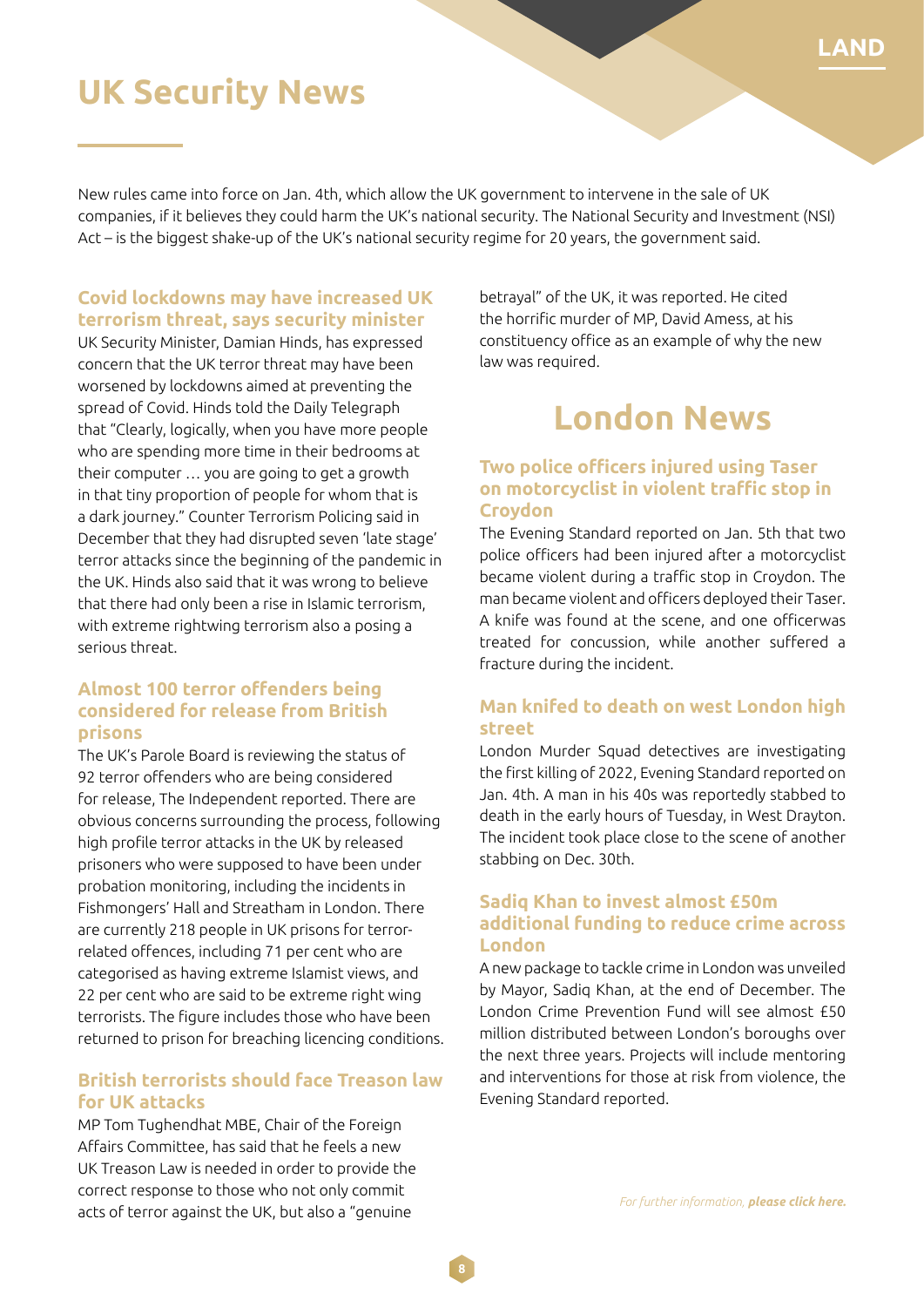### **UK Security News**

New rules came into force on Jan. 4th, which allow the UK government to intervene in the sale of UK companies, if it believes they could harm the UK's national security. The National Security and Investment (NSI) Act – is the biggest shake-up of the UK's national security regime for 20 years, the government said.

#### **Covid lockdowns may have increased UK terrorism threat, says security minister**

UK Security Minister, Damian Hinds, has expressed concern that the UK terror threat may have been worsened by lockdowns aimed at preventing the spread of Covid. Hinds told the Daily Telegraph that "Clearly, logically, when you have more people who are spending more time in their bedrooms at their computer … you are going to get a growth in that tiny proportion of people for whom that is a dark journey." Counter Terrorism Policing said in December that they had disrupted seven 'late stage' terror attacks since the beginning of the pandemic in the UK. Hinds also said that it was wrong to believe that there had only been a rise in Islamic terrorism, with extreme rightwing terrorism also a posing a serious threat.

#### **Almost 100 terror offenders being considered for release from British prisons**

The UK's Parole Board is reviewing the status of 92 terror offenders who are being considered for release, The Independent reported. There are obvious concerns surrounding the process, following high profile terror attacks in the UK by released prisoners who were supposed to have been under probation monitoring, including the incidents in Fishmongers' Hall and Streatham in London. There are currently 218 people in UK prisons for terrorrelated offences, including 71 per cent who are categorised as having extreme Islamist views, and 22 per cent who are said to be extreme right wing terrorists. The figure includes those who have been returned to prison for breaching licencing conditions.

#### **British terrorists should face Treason law for UK attacks**

MP Tom Tughendhat MBE, Chair of the Foreign Affairs Committee, has said that he feels a new UK Treason Law is needed in order to provide the correct response to those who not only commit acts of terror against the UK, but also a "genuine

betrayal" of the UK, it was reported. He cited the horrific murder of MP, David Amess, at his constituency office as an example of why the new law was required.

**LAND**

### **London News**

#### **Two police officers injured using Taser on motorcyclist in violent traffic stop in Croydon**

The Evening Standard reported on Jan. 5th that two police officers had been injured after a motorcyclist became violent during a traffic stop in Croydon. The man became violent and officers deployed their Taser. A knife was found at the scene, and one officerwas treated for concussion, while another suffered a fracture during the incident.

#### **Man knifed to death on west London high street**

London Murder Squad detectives are investigating the first killing of 2022, Evening Standard reported on Jan. 4th. A man in his 40s was reportedly stabbed to death in the early hours of Tuesday, in West Drayton. The incident took place close to the scene of another stabbing on Dec. 30th.

#### **Sadiq Khan to invest almost £50m additional funding to reduce crime across London**

A new package to tackle crime in London was unveiled by Mayor, Sadiq Khan, at the end of December. The London Crime Prevention Fund will see almost £50 million distributed between London's boroughs over the next three years. Projects will include mentoring and interventions for those at risk from violence, the Evening Standard reported.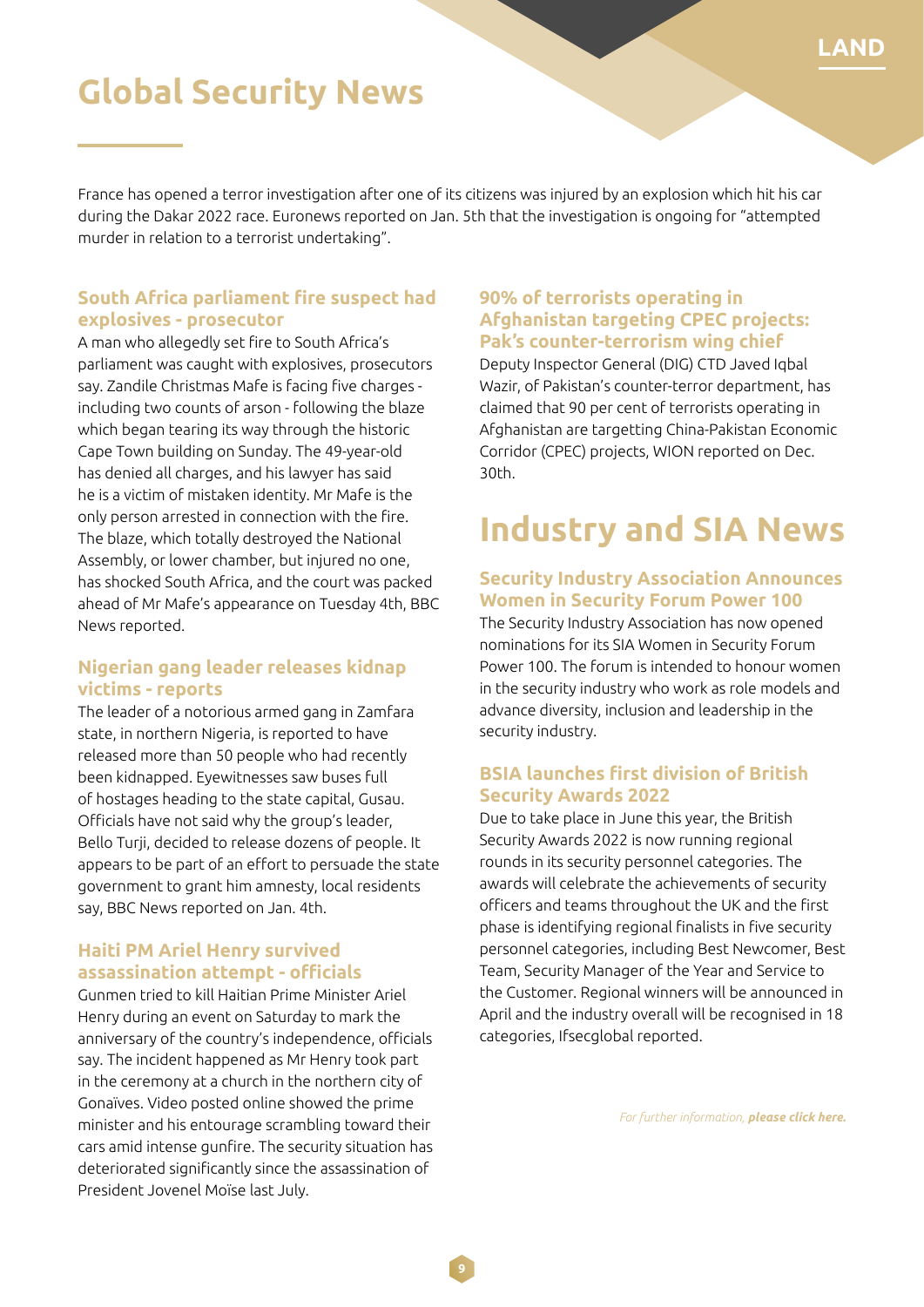### **LAND**

### **Global Security News**

France has opened a terror investigation after one of its citizens was injured by an explosion which hit his car during the Dakar 2022 race. Euronews reported on Jan. 5th that the investigation is ongoing for "attempted murder in relation to a terrorist undertaking".

#### **South Africa parliament fire suspect had explosives - prosecutor**

A man who allegedly set fire to South Africa's parliament was caught with explosives, prosecutors say. Zandile Christmas Mafe is facing five charges including two counts of arson - following the blaze which began tearing its way through the historic Cape Town building on Sunday. The 49-year-old has denied all charges, and his lawyer has said he is a victim of mistaken identity. Mr Mafe is the only person arrested in connection with the fire. The blaze, which totally destroyed the National Assembly, or lower chamber, but injured no one, has shocked South Africa, and the court was packed ahead of Mr Mafe's appearance on Tuesday 4th, BBC News reported.

#### **Nigerian gang leader releases kidnap victims - reports**

The leader of a notorious armed gang in Zamfara state, in northern Nigeria, is reported to have released more than 50 people who had recently been kidnapped. Eyewitnesses saw buses full of hostages heading to the state capital, Gusau. Officials have not said why the group's leader, Bello Turji, decided to release dozens of people. It appears to be part of an effort to persuade the state government to grant him amnesty, local residents say, BBC News reported on Jan. 4th.

#### **Haiti PM Ariel Henry survived assassination attempt - officials**

Gunmen tried to kill Haitian Prime Minister Ariel Henry during an event on Saturday to mark the anniversary of the country's independence, officials say. The incident happened as Mr Henry took part in the ceremony at a church in the northern city of Gonaïves. Video posted online showed the prime minister and his entourage scrambling toward their cars amid intense gunfire. The security situation has deteriorated significantly since the assassination of President Jovenel Moïse last July.

#### **90% of terrorists operating in Afghanistan targeting CPEC projects: Pak's counter-terrorism wing chief**

Deputy Inspector General (DIG) CTD Javed Iqbal Wazir, of Pakistan's counter-terror department, has claimed that 90 per cent of terrorists operating in Afghanistan are targetting China-Pakistan Economic Corridor (CPEC) projects, WION reported on Dec. 30th.

## **Industry and SIA News**

#### **Security Industry Association Announces Women in Security Forum Power 100**

The Security Industry Association has now opened nominations for its SIA Women in Security Forum Power 100. The forum is intended to honour women in the security industry who work as role models and advance diversity, inclusion and leadership in the security industry.

#### **BSIA launches first division of British Security Awards 2022**

Due to take place in June this year, the British Security Awards 2022 is now running regional rounds in its security personnel categories. The awards will celebrate the achievements of security officers and teams throughout the UK and the first phase is identifying regional finalists in five security personnel categories, including Best Newcomer, Best Team, Security Manager of the Year and Service to the Customer. Regional winners will be announced in April and the industry overall will be recognised in 18 categories, Ifsecglobal reported.

*For further information, please click here.*